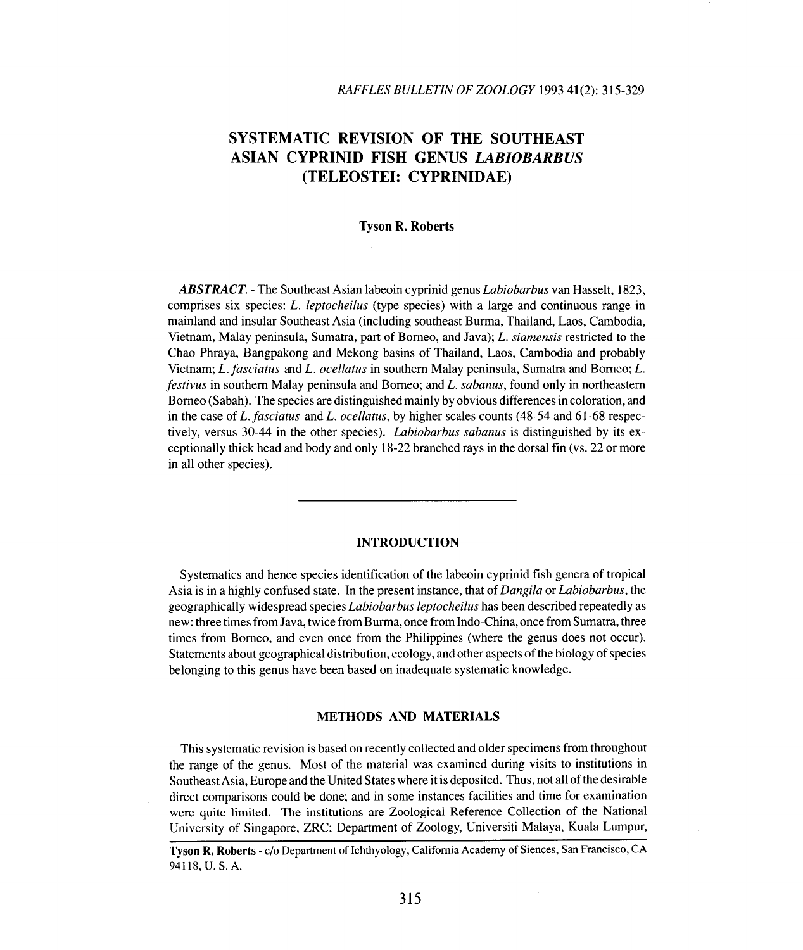# **SYSTEMATIC REVISION OF THE SOUTHEAST ASIAN CYPRINID FISH GENUS** *LABIOBARBUS* **(TELEOSTEI: CYPRINIDAE)**

# **Tyson R. Roberts**

*ABSTRACT. -* The Southeast Asian labeoin cyprinid genus *Labiobarbus* van Hasselt, 1823, comprises six species: *L. leptocheilus* (type species) with a large and continuous range in mainland and insular Southeast Asia (including southeast Burma, Thailand, Laos, Cambodia, Vietnam, Malay peninsula, Sumatra, part of Borneo, and Java); *L. siamensis* restricted to the Chao Phraya, Bangpakong and Mekong basins of Thailand, Laos, Cambodia and probably Vietnam; *L.fasciatus* and *L. ocellatus* in southern Malay peninsula, Sumatra and Borneo; *L. festivus* in southern Malay peninsula and Borneo; and *L. sabanus,* found only in northeastern Borneo (Sabah). The species are distinguished mainly by obvious differences in coloration, and in the case of *L. fasciatus* and *L. ocellatus,* by higher scales counts (48-54 and 61-68 respectively, versus 30-44 in the other species). *Labiobarbus sabanus* is distinguished by its exceptionally thick head and body and only 18-22 branched rays in the dorsal fin (vs. 22 or more in all other species).

# **INTRODUCTION**

Systematics and hence species identification of the labeoin cyprinid fish genera of tropical Asia is in a highly confused state. In the present instance, that of *Dangila* or *Labiobarbus,* the geographically widespread species *Labiobarbus leptocheilus* has been described repeatedly as new: three times from Java, twice from Burma, once from Indo-China, once from Sumatra, three times from Borneo, and even once from the Philippines (where the genus does not occur). Statements about geographical distribution, ecology, and other aspects ofthe biology of species belonging to this genus have been based on inadequate systematic knowledge.

### **METHODS AND MATERIALS**

This systematic revision is based on recently collected and older specimens from throughout the range of the genus. Most of the material was examined during visits to institutions in Southeast Asia, Europe and the United States where it is deposited. Thus, not all of the desirable direct comparisons could be done; and in some instances facilities and time for examination were quite limited. The institutions are Zoological Reference Collection of the National University of Singapore, ZRC; Department of Zoology, Universiti Malaya, Kuala Lumpur,

Tyson R. Roberts· c/o Department of Ichthyology, California Academy of Siences, San Francisco, CA 94118, U. S. A.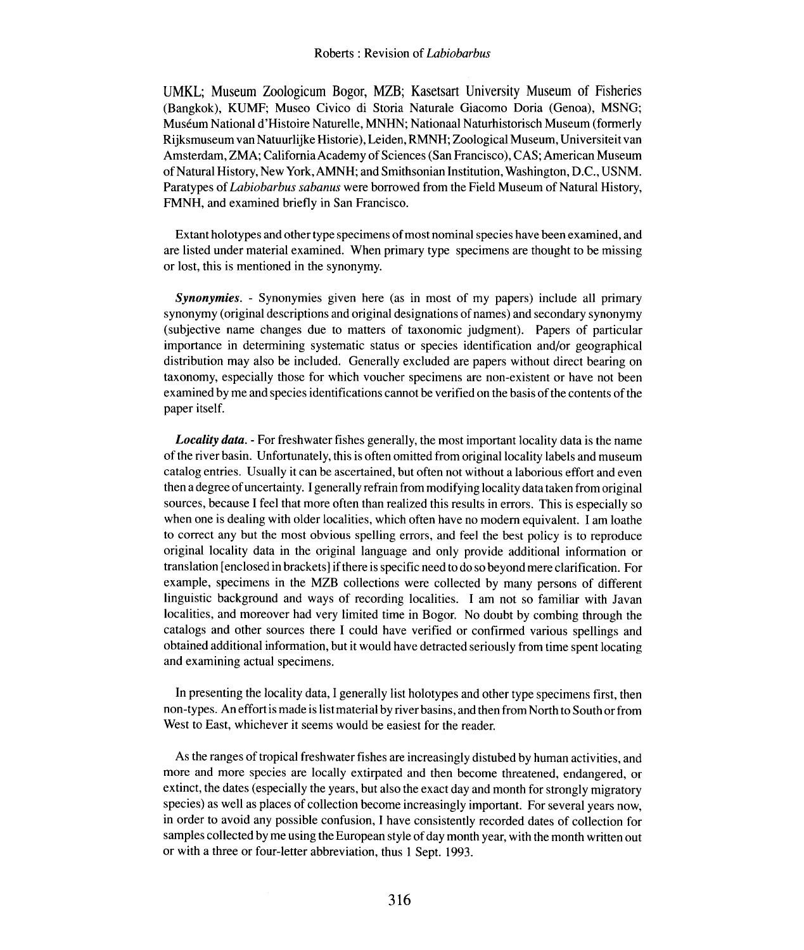UMKL; Museum Zoologicum Bogor, MZB; Kasetsart University Museum of Fisheries (Bangkok), KUMF; Museo Civico di Storia Naturale Giacomo Doria (Genoa), MSNG; Museum National d'Histoire Naturelle, MNHN; Nationaal Naturhistorisch Museum (formerly Rijksmuseum van Natuurlijke Historie), Leiden, RMNH; Zoological Museum, Universiteit van Amsterdam, ZMA; California Academy of Sciences (San Francisco), CAS; American Museum of Natural History, New York, AMNH; and Smithsonian Institution, Washington, D.C., USNM. Paratypes of *Labiobarbus sabanus* were borrowed from the Field Museum of Natural History, FMNH, and examined briefly in San Francisco.

Extant holotypes and other type specimens of most nominal species have been examined, and are listed under material examined. When primary type specimens are thought to be missing or lost, this is mentioned in the synonymy.

*Synonymies. -* Synonymies given here (as in most of my papers) include all primary synonymy (original descriptions and original designations of names) and secondary synonymy (subjective name changes due to matters of taxonomic judgment). Papers of particular importance in determining systematic status or species identification and/or geographical distribution may also be included. Generally excluded are papers without direct bearing on taxonomy, especially those for which voucher specimens are non-existent or have not been examined by me and species identifications cannot be verified on the basis of the contents of the paper itself.

*Locality data. -* For freshwater fishes generally, the most important locality data is the name of the river basin. Unfortunately, this is often omitted from original locality labels and museum catalog entries. Usually it can be ascertained, but often not without a laborious effort and even then a degree of uncertainty. I generally refrain from modifying locality data taken from original sources, because I feel that more often than realized this results in errors. This is especially so when one is dealing with older localities, which often have no modem equivalent. I am loathe to correct any but the most obvious spelling errors, and feel the best policy is to reproduce original locality data in the original language and only provide additional information or translation [enclosed in brackets] if there is specific need to do so beyond mere clarification. For example, specimens in the MZB collections were collected by many persons of different linguistic background and ways of recording localities. I am not so familiar with Javan localities, and moreover had very limited time in Bogor. No doubt by combing through the catalogs and other sources there I could have verified or confirmed various spellings and obtained additional information, but it would have detracted seriously from time spent locating and examining actual specimens.

In presenting the locality data, I generally list holotypes and other type specimens first, then non-types. An effort is made is list material by river basins, and then from North to South or from West to East, whichever it seems would be easiest for the reader.

As the ranges of tropical freshwater fishes are increasingly distubed by human activities, and more and more species are locally extirpated and then become threatened, endangered, or extinct, the dates (especially the years, but also the exact day and month for strongly migratory species) as well as places of collection become increasingly important. For several years now, in order to avoid any possible confusion, I have consistently recorded dates of collection for samples collected by me using the European style of day month year, with the month written out or with a three or four-letter abbreviation, thus I Sept. 1993.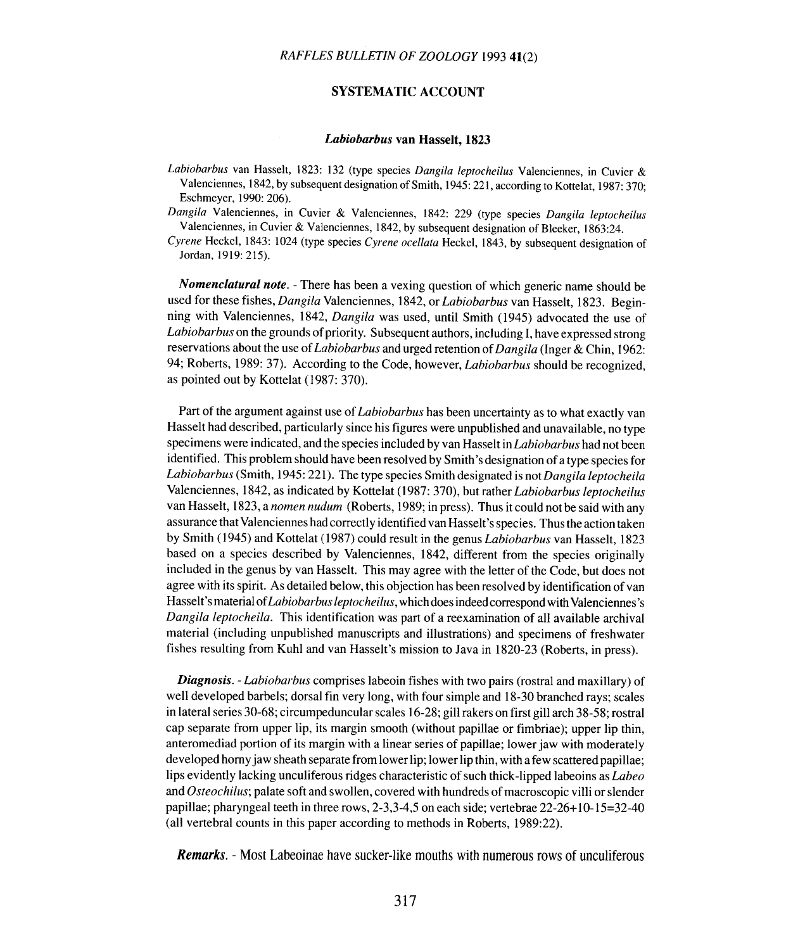# **SYSTEMATIC ACCOUNT**

#### Labiobarbus van Hasselt, 1823

*Labiobarbus* van Hasselt, 1823: 132 (type species *Dangila leptocheilus* Valenciennes, in Cuvier & Valenciennes, 1842, by subsequent designation of Smith, 1945: 221, according to Kottelat, 1987: 370; Eschmeyer, 1990: 206).

*Dangila* Valenciennes, in Cuvier & Valenciennes, 1842: 229 (type species *Dangila leptocheilus* Valenciennes, in Cuvier & Valenciennes, 1842, by subsequent designation of Bleeker, 1863:24.

*Cyrene* Heckel, 1843: 1024 (type species *Cyrene ocel/ata* Heckel, 1843, by subsequent designation of Jordan, 1919: 215).

*Nomenclatural note. -* There has been a vexing question of which generic name should be used for these fishes, *Dangila* Valenciennes, 1842, or *Labiobarbus* van Hasselt, 1823. Beginning with Valenciennes, 1842, *Dangila* was used, until Smith (1945) advocated the use of *Labiobarbus* on the grounds of priority. Subsequent authors, including I, have expressed strong reservations about the use of *Labiobarbus* and urged retention of *Dangila* (Inger & Chin, 1962: 94; Roberts, 1989: 37). According to the Code, however, *Labiobarbus* should be recognized, as pointed out by Kottelat (1987: 370).

Part of the argument against use of *Labiobarbus* has been uncertainty as to what exactly van Hasselt had described, particularly since his figures were unpublished and unavailable, no type specimens were indicated, and the species included by van Hasselt in *Labiobarbus* had not been identified. This problem should have been resolved by Smith's designation of a type species for *Labiobarbus* (Smith, 1945: 221). The type species Smith designated is not *Dangila leptocheila* Valenciennes, 1842, as indicated by Kottelat (1987: 370), but rather *Labiobarbus leptocheilus* van Hasselt, 1823, a *nomen nudum* (Roberts, 1989; in press). Thus it could not be said with any assurance that Valenciennes had correctly identified van Hasselt's species. Thus the action taken by Smith (1945) and Kottelat (1987) could result in the genus *Labiobarbus* van Hasselt, 1823 based on a species described by Valenciennes, 1842, different from the species originally included in the genus by van Hasselt. This may agree with the letter of the Code, but does not agree with its spirit. As detailed below, this objection has been resolved by identification of van Hasselt's material *ofLabiobarbus leptocheilus,* which does indeed correspond with Valenciennes's *Dangila leptocheila.* This identification was part of a reexamination of all available archival material (including unpublished manuscripts and illustrations) and specimens of freshwater fishes resulting from Kuhl and van Hasselt's mission to Java in 1820-23 (Roberts, in press).

*Diagnosis. - Labiobarbus* comprises labeoin fishes with two pairs (rostral and maxillary) of well developed barbels; dorsal fin very long, with four simple and 18-30 branched rays; scales in lateral series 30-68; circumpeduncular scales 16-28; gill rakers on first gill arch 38-58; rostral cap separate from upper lip, its margin smooth (without papillae or fimbriae); upper lip thin, anteromediad portion of its margin with a linear series of papillae; lower jaw with moderately developed horny jaw sheath separate from lower lip; lower lip thin, with a few scattered papillae; lips evidently lacking unculiferous ridges characteristic of such thick-lipped labeoins as *Labeo* and *Osteochilus;* palate soft and swollen, covered with hundreds of macroscopic villi or slender papillae; pharyngeal teeth in three rows, 2-3,3-4,5 on each side; vertebrae 22-26+ 10-15=32-40 (all vertebral counts in this paper according to methods in Roberts, 1989:22).

**Remarks.** - Most Labeoinae have sucker-like mouths with numerous rows of unculiferous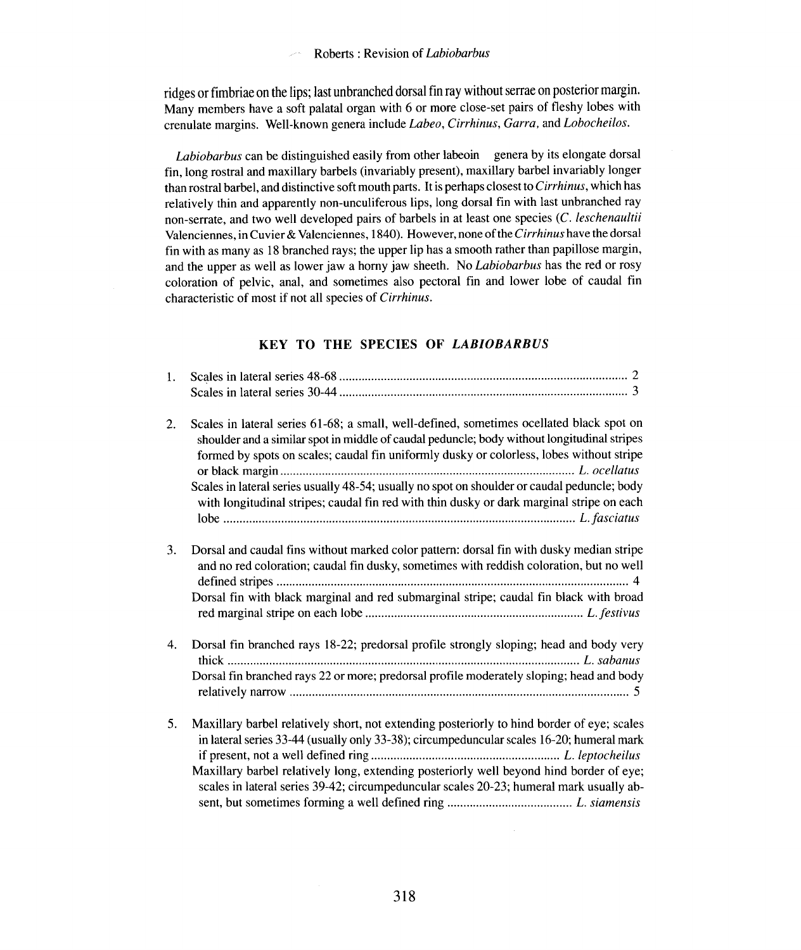ridges or fimbriae on the lips; last unbranched dorsal fin ray without serrae on posterior margin. Many members have a soft palatal organ with 6 or more close-set pairs of fleshy lobes with crenulate margins. Well-known genera include *Labeo, Cirrhinus, Garra.* and *Lobocheilos.*

*Labiobarbus* can be distinguished easily from other labeoin genera by its elongate dorsal fin, long rostral and maxillary barbels (invariably present), maxillary barbel invariably longer than rostral barbel, and distinctive soft mouth parts. It is perhaps closest to *Cirrhinus,* which has relatively thin and apparently non-unculiferous lips, long dorsal fin with last unbranched ray non-serrate, and two well developed pairs of barbels in at least one species (c. *leschenaultii* Valenciennes, in Cuvier & Valenciennes, 1840). However, none ofthe *Cirrhinus* have the dorsal fin with as many as 18 branched rays; the upper lip has a smooth rather than papillose margin, and the upper as well as lower jaw a horny jaw sheeth. No *Labiobarbus* has the red or rosy coloration of pelvic, anal, and sometimes also pectoral fin and lower lobe of caudal fin characteristic of most if not all species of *Cirrhinus.*

# KEY TO THE SPECIES OF LABIOBARBUS

| 1. |                                                                                                                                                                                                                                                                                     |
|----|-------------------------------------------------------------------------------------------------------------------------------------------------------------------------------------------------------------------------------------------------------------------------------------|
|    |                                                                                                                                                                                                                                                                                     |
| 2. | Scales in lateral series 61-68; a small, well-defined, sometimes ocellated black spot on<br>shoulder and a similar spot in middle of caudal peduncle; body without longitudinal stripes<br>formed by spots on scales; caudal fin uniformly dusky or colorless, lobes without stripe |
|    | Scales in lateral series usually 48-54; usually no spot on shoulder or caudal peduncle; body<br>with longitudinal stripes; caudal fin red with thin dusky or dark marginal stripe on each                                                                                           |
| 3. | Dorsal and caudal fins without marked color pattern: dorsal fin with dusky median stripe<br>and no red coloration; caudal fin dusky, sometimes with reddish coloration, but no well                                                                                                 |
|    | Dorsal fin with black marginal and red submarginal stripe; caudal fin black with broad                                                                                                                                                                                              |
| 4. | Dorsal fin branched rays 18-22; predorsal profile strongly sloping; head and body very<br>Dorsal fin branched rays 22 or more; predorsal profile moderately sloping; head and body                                                                                                  |
|    |                                                                                                                                                                                                                                                                                     |
| 5. | Maxillary barbel relatively short, not extending posteriorly to hind border of eye; scales<br>in lateral series 33-44 (usually only 33-38); circumpeduncular scales 16-20; humeral mark                                                                                             |
|    | Maxillary barbel relatively long, extending posteriorly well beyond hind border of eye;<br>scales in lateral series 39-42; circumpeduncular scales 20-23; humeral mark usually ab-                                                                                                  |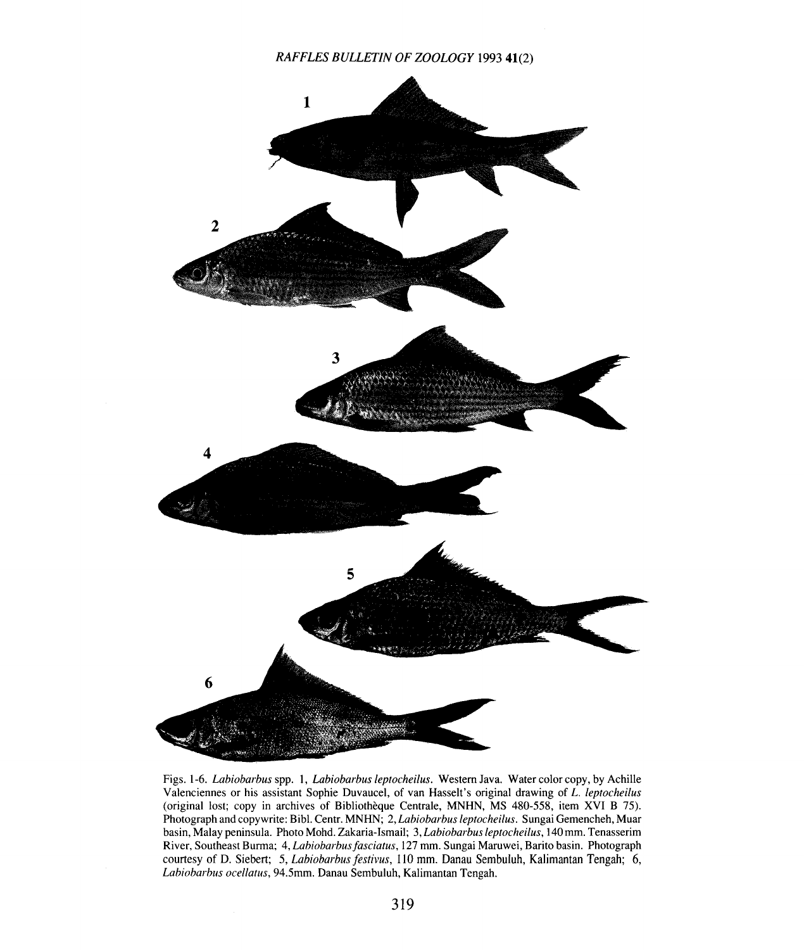

Figs. 1-6. *Labiobarbus* spp. **1,** *Labiobarbus leptocheilus.* Western Java. Water color copy, by Achille Valenciennes or his assistant Sophie Duvaucel, of van Hasselt's original drawing of *L. leptocheilus* (original lost; copy in archives of Bibliotheque Centrale, MNHN, MS 480-558, item XVI B 75). Photograph and copywrite: Bibl. Centr. MNHN; 2, *Labiobarbus leptocheilus.* Sungai Gemencheh, Muar basin, Malay peninsula. Photo Mohd. Zakaria-Ismail; 3, *Labiobarbus leptocheilus,* 140 mm. Tenasserim River, Southeast Burma; 4, *Labiobarbusfasciatus,* 127 mm. Sungai Maruwei, Barito basin. Photograph courtesy of D. Siebert; 5, *Labiobarbus festivus,* 110 mm. Danau Sembuluh, Kalimantan Tengah; 6, *Labiobarbus oce/latus,* 94.5mm. Danau Sembuluh, Kalimantan Tengah.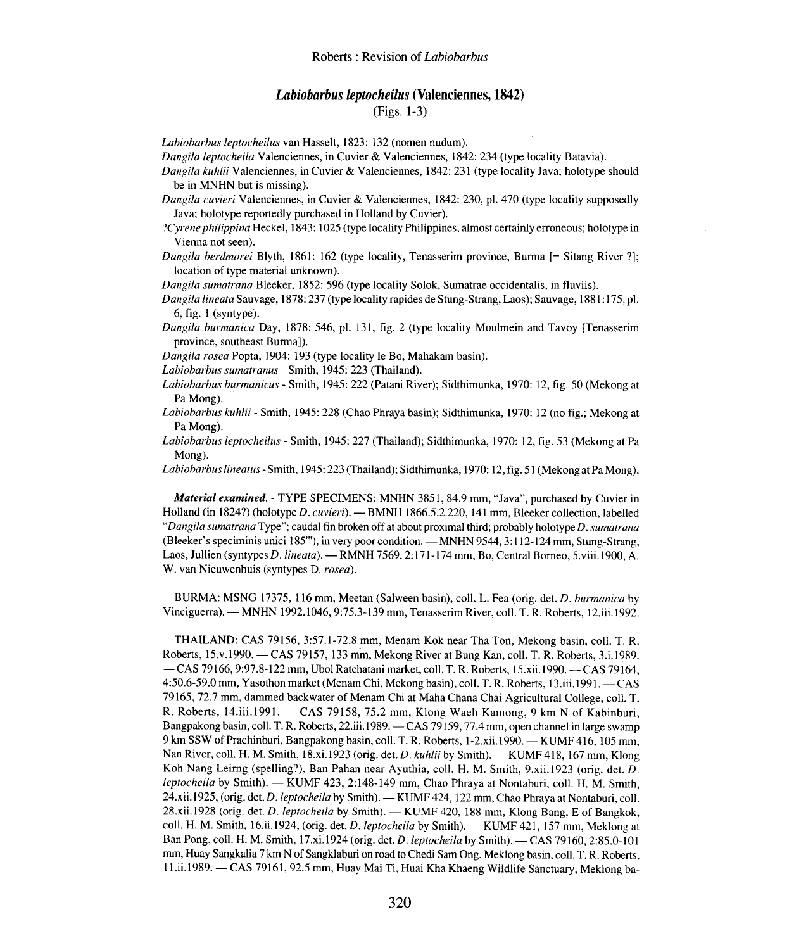# *Labiobarbus leptocheilus* **(Valenciennes, 1842)**

### (Figs. 1-3)

*Labiobarbus leptocheilus* van Hasselt, 1823: 132 (nomen nudum).

*Dangila leptocheila* Valenciennes, in Cuvier & Valenciennes, 1842: 234 (type locality Batavia).

*Dangila kuhlii* Valenciennes, in Cuvier & Valenciennes, 1842: 231 (type locality Java; holotype should be in MNHN but is missing).

*Dangila cuvieri* Valenciennes, in Cuvier & Valenciennes, 1842: 230, pI. 470 (type locality supposedly Java; holotype reportedly purchased in Holland by Cuvier).

*?Cyrene philippina* Heckel, 1843: 1025 (type locality Philippines, almost certainly erroneous; holotype in Vienna not seen).

*Dangila berdmorei* Blyth, 1861: 162 (type locality, Tenasserim province, Burma [= Sitang River ?]; location of type material unknown).

*Dangila sumatrana* Bleeker, 1852: 596 (type locality Solok, Sumatrae occidentalis, in fluviis).

*Dangila lineata* Sauvage, 1878: 237 (type locality rapides de Stung-Strang, Laos); Sauvage, 1881: 175, pI. 6, fig. I (syntype).

*Dangila burmanica* Day, 1878: 546, pI. 131, fig. 2 (type locality Moulmein and Tavoy [Tenasserim province, southeast Burma]).

*Dangila rosea* Popta, 1904: 193 (type locality Ie Bo, Mahakam basin).

*Labiobarbus sumatranus -* Smith, 1945: 223 (Thailand).

*Labiobarbus burmanicus -* Smith, 1945: 222 (Patani River); Sidthimunka, 1970: 12, fig. 50 (Mekong at Pa Mong).

*Labiobarbus kuhlii -* Smith, 1945: 228 (Chao Phraya basin); Sidthimunka, 1970: 12 (no fig.; Mekong at Pa Mong).

*Labiobarbus leptocheilus -* Smith, 1945: 227 (Thailand); Sidthimunka, 1970: 12, fig. 53 (Mekong at Pa Mong).

*Labiobarbus lineatus* - Smith, 1945: 223 (Thailand); Sidthimunka, 1970: 12, fig. 51 (Mekong at Pa Mong).

*Material examined. -* TYPE SPECIMENS: MNHN 3851, 84.9 mm, "Java", purchased by Cuvier in Holland (in I824?) (holotype *D. cuvieri). -* BMNH 1866.5.2.220, 141 mm, Bleeker collection, labelled *"Dangila sumatrana* Type"; caudal fin broken off at about proximal third; probably holotype *D. sumatrana* (Bleeker's speciminis unici 185"'), in very poor condition. — MNHN 9544, 3:112-124 mm, Stung-Strang, Laos, Jullien *(syntypes D. lineata).* - RMNH 7569, 2:171-174 mm, Bo, Central Borneo, 5.viii.1900, A. W. van Nieuwenhuis (syntypes D. *rosea).*

BURMA: MSNG 17375, 116 mm, Meetan (Salween basin), coil. L. Fea (orig. del. *D. burmanica* by Vinciguerra). - MNHN 1992.1046,9:75.3-139 mm, Tenasserim River, coli. T. R. Roberts, 12.iii.l992.

THAILAND: CAS 79156, 3:57.1-72.8 mm, Menam Kok near Tha Ton, Mekong basin, coll. T. R. Roberts, 15.v.1990. - CAS 79157,133 min, Mekong River at Bung Kan, coIl. T. R. Roberts, 3.i.1989. -CAS 79166, 9:97.8-122 mm, Ubol Ratchatani market, coli. T. R. Roberts, 15.xii.1990. -CAS 79164, 4:50.6-59.0 mm, Yasothon market (Menam Chi, Mekong basin), coll. T. R. Roberts, 13.iii.1991. - CAS 79165,72.7 mm, dammed backwater of Menam Chi at Maha Chana Chai Agricultural College, coil. T. R. Roberts, 14.iii.1991. - CAS 79158, 75.2 mm, Klong Waeh Kamong, 9 km N of Kabinburi, Bangpakong basin, coll. T. R. Roberts, 22.iii.1989. — CAS 79159, 77.4 mm, open channel in large swamp 9 km SSW of Prachinburi, Bangpakong basin, coll. T. R. Roberts, 1-2.xii.1990. - KUMF 416, 105 mm, Nan River, coll. H. M. Smith, 18.xi.1923 (orig. det. *D. kuhlii* by Smith). - KUMF 418, 167 mm, Klong Koh Nang Leirng (spelling?), Ban Pahan near Ayuthia, coIl. H. M. Smith, 9.xii.l923 (orig. del. *D. leptocheila* by Smith). - KUMF 423, 2:148-149 mm, Chao Phraya at Nontaburi, coll. H. M. Smith, 24.xii.1925, (orig. del. *D. leptocheila* by Smith). - KUMF 424, 122 mm, Chao Phraya at Nontaburi, coli. 28.xii.1928 (orig. det. *D. leptocheila* by Smith). - KUMF 420, 188 mm, Klong Bang, E of Bangkok, coll. H. M. Smith, 16.ii.1924, (orig. det. *D. leptocheila* by Smith). - KUMF 421, 157 mm, Meklong at Ban Pong, coli. H. M. Smith, 17.xi.I924 (orig. del. *D. leptocheila* by Smith). - CAS 79160, 2:85.0-101 mm, Huay Sangkalia 7 km N of Sangklaburi on road to Chedi Sam Ong, Meklong basin, coli. T. R. Roberts, ll.ii.l989. - CAS 79161,92.5 mm, Huay Mai Ti, Huai Kha Khaeng Wildlife Sanctuary, Meklong ba-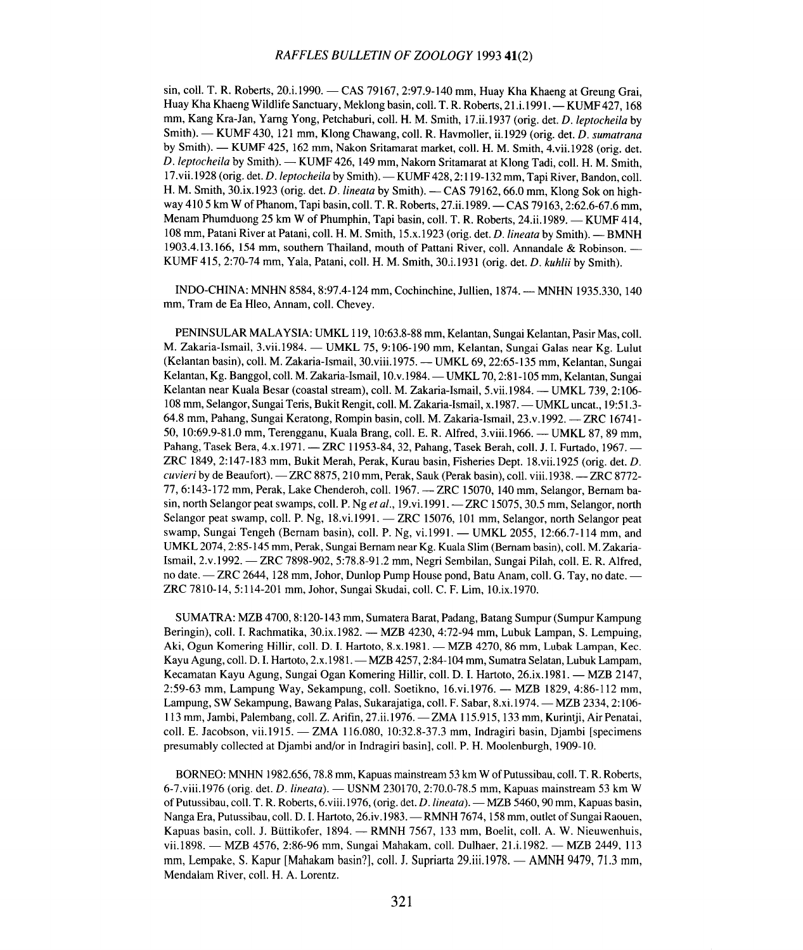sin, coll. T. R. Roberts, 20.i.1990. - CAS 79167, 2:97.9-140 mm, Huay Kha Khaeng at Greung Grai. Huay Kha Khaeng Wildlife Sanctuary, Meklong basin, coll. T. R. Roberts, 21.i.1991. - KUMF 427, 168 mm, Kang Kra-Jan, Yarng Yong, Petchaburi, colI. H. M. Smith, 17.ii.1937 (orig. det. *D. ieptocheila* by Smith). - KUMF 430, 121 mm, Klong Chawang, colI. R. Havmoller, ii.l929 (orig. det. *D. sumatrana* by Smith). - KUMF 425, 162 mm, Nakon Sritamarat market, coll. H. M. Smith, 4.vii.1928 (orig. det. *D.ieptocheila* by Smith). - KUMF 426,149 mm, Nakorn Sritamarat at Klong Tadi, colI. H. M. Smith, 17.vii.1928 (orig. det. *D. leptocheila* by Smith). - KUMF 428, 2:119-132 mm, Tapi River, Bandon, coll. H. M. Smith, 30.ix.1923 (orig. det. *D. lineata* by Smith). - CAS 79162, 66.0 mm, Klong Sok on highway 410 5 km W of Phanom, Tapi basin, coll. T. R. Roberts, 27.ii.1989. - CAS 79163, 2:62.6-67.6 mm, Menam Phumduong 25 km W of Phumphin, Tapi basin, coll. T. R. Roberts, 24.ii.1989. - KUMF 414, 108 mm, Patani River at Patani, coll. H. M. Smith, 15.x.1923 (orig. det. *D. lineata* by Smith). - BMNH 1903.4.13.166, 154 mm, southern Thailand, mouth of Pattani River, coll. Annandale & Robinson. -KUMF 415,2:70-74 mm, Yala, Patani, coll. H. M. Smith, 30.i.l931 (orig. det. *D. kuhlii* by Smith).

INDO-CHINA: MNHN 8584, 8:97.4-124 mm, Cochinchine, Jullien, 1874. - MNHN 1935.330, 140 mm, Tram de Ea Hleo, Annam, coll. Chevey.

PENINSULAR MALAYSIA: UMKL 119, 10:63.8-88 mm, Kelantan, Sungai Kelantan, Pasir Mas, colI. M. Zakaria-Ismail, 3.vii.1984. — UMKL 75, 9:106-190 mm, Kelantan, Sungai Galas near Kg. Lulut (Kelantan basin), coll. M. Zakaria-Ismail, 30.viii.l975. - UMKL 69, 22:65-135 mm, Kelantan, Sungai Kelantan, Kg. Banggol, coll. M. Zakaria-Ismail, 10.v.1984. — UMKL 70, 2:81-105 mm, Kelantan, Sungai Kelantan near Kuala Besar (coastal stream), coll. M. Zakaria-Ismail, 5.vii.1984. — UMKL 739, 2:106-108 mm, Selangor, Sungai Teris, Bukit Rengit, colI. M. Zakaria-Ismail, x.1987. - UMKL uncat., 19:51.3- 64.8 mm, Pahang, Sungai Keratong, Rompin basin, coll. M. Zakaria-Ismail, 23.v.1992. -- ZRC 16741-50, 10:69.9-81.0 mm, Terengganu, Kuala Brang, coll. E. R. Alfred, 3.viii.1966. - UMKL 87, 89 mm, Pahang, Tasek Bera, 4.x.1971. - ZRC 11953-84, 32, Pahang, Tasek Berah, coll. J. I. Furtado, 1967. -ZRC 1849,2:147-183 mm, Bukit Merah, Perak, Kurau basin, Fisheries Dept. 18.vii.l925 (orig. det. *D. cuvieri* by de Beaufort). - ZRC 8875, 210 mm, Perak, Sauk (Perak basin), coll. viii.1938. - ZRC 8772-77, 6: 143-172 mm, Perak, Lake Chenderoh, colI. 1967. - ZRC 15070, 140 mm, Selangor, Bernam basin, north Selangor peat swamps, coll. P. Ng *et al.*, 19.vi.1991. - ZRC 15075, 30.5 mm, Selangor, north Selangor peat swamp, coll. P. Ng, 18.vi.1991. - ZRC 15076, 101 mm, Selangor, north Selangor peat swamp, Sungai Tengeh (Bernam basin), coll. P. Ng, vi.1991. - UMKL 2055, 12:66.7-114 mm, and UMKL 2074, 2:85-145 mm, Perak, Sungai Bernam near Kg. Kuala Slim (Bernam basin), coll. M. Zakaria-Ismail, 2.v .1992. - ZRC 7898-902, 5:78.8-91.2 mm, Negri Sembilan, Sungai Pilah, coll. E. R. Alfred, no date. - ZRC 2644, 128 mm, Johor, Dunlop Pump House pond, Batu Anam, coll. G. Tay, no date. -ZRC 7810-14, 5:114-201 mm, Johor, Sungai Skudai, coil. C. F. Lim, 1O.ix.1970.

SUMATRA: MZB 4700, 8: 120-143 mm, Sumatera Barat, Padang, Batang Sumpur (Sumpur Kampung Beringin), coll. I. Rachmatika, 30.ix.1982. - MZB 4230, 4:72-94 mm, Lubuk Lampan, S. Lempuing, Aki, Ogun Komering Hillir, coll. D. I. Hartoto, 8.x.1981. — MZB 4270, 86 mm, Lubak Lampan, Kec. Kayu Agung, coll. D. I. Hartoto, 2.x.1981. - MZB 4257, 2:84-104 mm, Sumatra Selatan, Lubuk Lampam, Kecamatan Kayu Agung, Sungai Ogan Komering Hillir, coll. D. I. Hartoto, 26.ix.1981. - MZB 2147, 2:59-63 mm, Lampung Way, Sekampung, coll. Soetikno, 16.vi.1976. - MZB 1829, 4:86-112 mm, Lampung, SW Sekampung, Bawang Palas, Sukarajatiga, coll. F. Sabar, 8.xi.1974. — MZB 2334, 2:106-113 mm, Jambi, Palembang, coll. Z. Arifin, 27.ii.1976. - ZMA 115.915, 133 mm, Kurintji, Air Penatai, colI. E. Jacobson, vii.l915. - ZMA 116.080, 10:32.8-37.3 mm, Indragiri basin, Djambi [specimens presumably collected at Djambi and/or in Indragiri basin], coll. P. H. Moolenburgh, 1909-10.

BORNEO: MNHN 1982.656,78.8 mm, Kapuas mainstream 53 km W of Putussibau, coll. T. R. Roberts, 6-7.viii.1976 (orig. det. *D. lineata). -* USNM 230170, 2:70.0-78.5 mm, Kapuas mainstream 53 km W of Put ussibau, coil. T. R. Roberts, 6.viii.l976, (orig. det. *D.iineata). -* MZB 5460,90 mm, Kapuas basin, Nanga Era, Putussibau, coil. D. I. Hartoto, 26.iv.1983. - RMNH 7674, 158 mm, outlet of Sungai Raouen, Kapuas basin, coll. J. Büttikofer, 1894. - RMNH 7567, 133 mm, Boelit, coll. A. W. Nieuwenhuis, vii.1898. - MZB 4576, 2:86-96 mm, Sungai Mahakam, coll. Dulhaer, 21.i.1982. - MZB 2449, 113 mm, Lempake, S. Kapur [Mahakam basin?], coll. J. Supriarta 29.iii.1978. — AMNH 9479, 71.3 mm, Mendalam River, coil. H. A. Lorentz.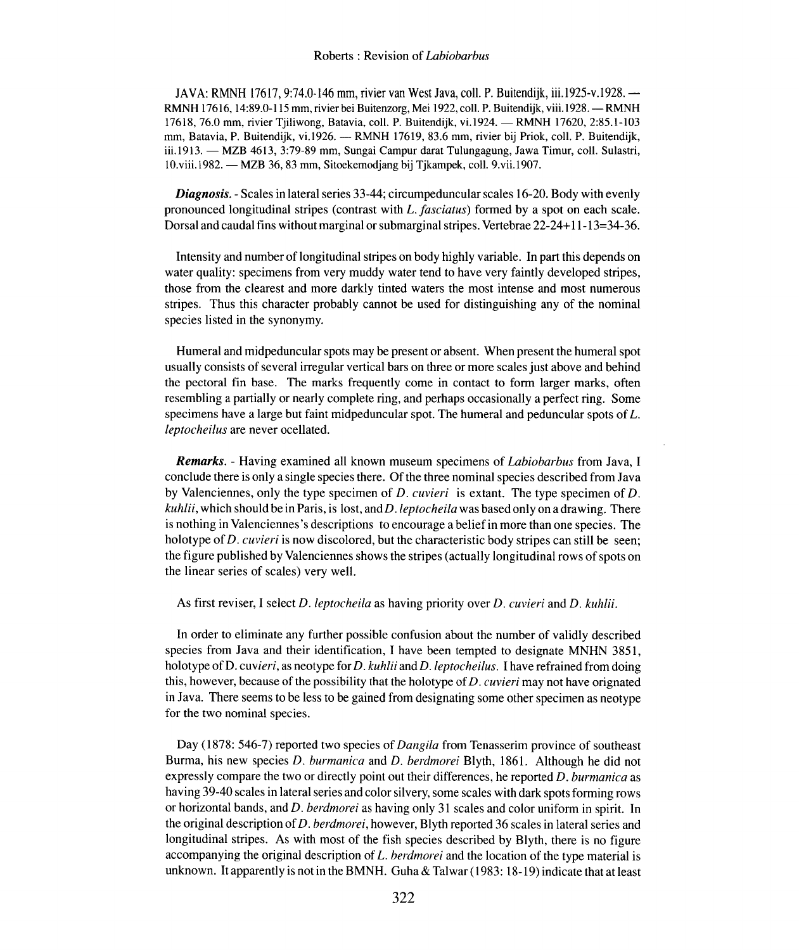JAVA: RMNH 17617,9:74.0-146 mm, rivier van West Java, colI. P. Buitendijk, iii.1925-v.l928.- RMNH 17616, 14:89.0-115 mm, rivier bei Buitenzorg, Mei 1922, coll. P. Buitendijk, viii. 1928. - RMNH 17618, 76.0 mm, rivier Tjiliwong, Batavia, coll. P. Buitendijk, vi.1924. - RMNH 17620, 2:85.1-103 mm, Batavia, P. Buitendijk, vi.1926. - RMNH 17619, 83.6 mm, rivier bij Priok, coll. P. Buitendijk, iii.1913. — MZB 4613, 3:79-89 mm, Sungai Campur darat Tulungagung, Jawa Timur, coll. Sulastri, 1O.viii.1982. - MZB 36,83 mm, Sitoekemodjang bij Tjkampek, colI. 9.vii.1907.

*Diagnosis. -* Scales in lateral series 33-44; circumpeduncular scales 16-20. Body with evenly pronounced longitudinal stripes (contrast with *L.fasciatus)* formed by a spot on each scale. Dorsal and caudal fins without marginal or submarginal stripes. Vertebrae 22-24+ 11-13=34-36.

Intensity and number of longitudinal stripes on body highly variable. In part this depends on water quality: specimens from very muddy water tend to have very faintly developed stripes, those from the clearest and more darkly tinted waters the most intense and most numerous stripes. Thus this character probably cannot be used for distinguishing any of the nominal species listed in the synonymy.

Humeral and midpeduncular spots may be present or absent. When present the humeral spot usually consists of several irregular vertical bars on three or more scales just above and behind the pectoral fin base. The marks frequently come in contact to form larger marks, often resembling a partially or nearly complete ring, and perhaps occasionally a perfect ring. Some specimens have a large but faint midpeduncular spot. The humeral and peduncular spots of *L. leptocheilus* are never ocellated.

*Remarks. -* Having examined all known museum specimens of *Labiobarbus* from Java, I conclude there is only a single species there. Of the three nominal species described from Java by Valenciennes, only the type specimen of *D. cuvieri* is extant. The type specimen of *D. kuhlii,* which should be in Paris, is lost, andD *.leptocheila* was based only on a drawing. There is nothing in Valenciennes's descriptions to encourage a belief in more than one species. The holotype of *D. cuvieri* is now discolored, but the characteristic body stripes can still be seen; the figure published by Valenciennes shows the stripes (actually longitudinal rows of spots on the linear series of scales) very well.

As first reviser, I select D. leptocheila as having priority over D. cuvieri and D. kuhlii.

In order to eliminate any further possible confusion about the number of validly described species from Java and their identification, I have been tempted to designate MNHN 3851, holotype ofD. *cuvieri,* as neotype for *D. kuhlii andD.leptocheilus.* I have refrained from doing this, however, because of the possibility that the holotype of *D. cuvieri* may not have orignated in Java. There seems to be less to be gained from designating some other specimen as neotype for the two nominal species.

Day (1878: 546-7) reported two species of *Dangila* from Tenasserim province of southeast Burma, his new species *D. burmanica* and *D. berdmorei* Blyth, 1861. Although he did not expressly compare the two or directly point out their differences, he reported *D. burmanica* as having 39-40 scales in lateral series and color silvery, some scales with dark spots forming rows or horizontal bands, and *D. berdmorei* as having only 31 scales and color uniform in spirit. In the original description of *D. berdmorei,* however, Blyth reported 36 scales in lateral series and longitudinal stripes. As with most of the fish species described by Blyth, there is no figure accompanying the original description of *L. berdmorei* and the location of the type material is unknown. It apparently is not in the BMNH. Guha & Talwar  $(1983: 18-19)$  indicate that at least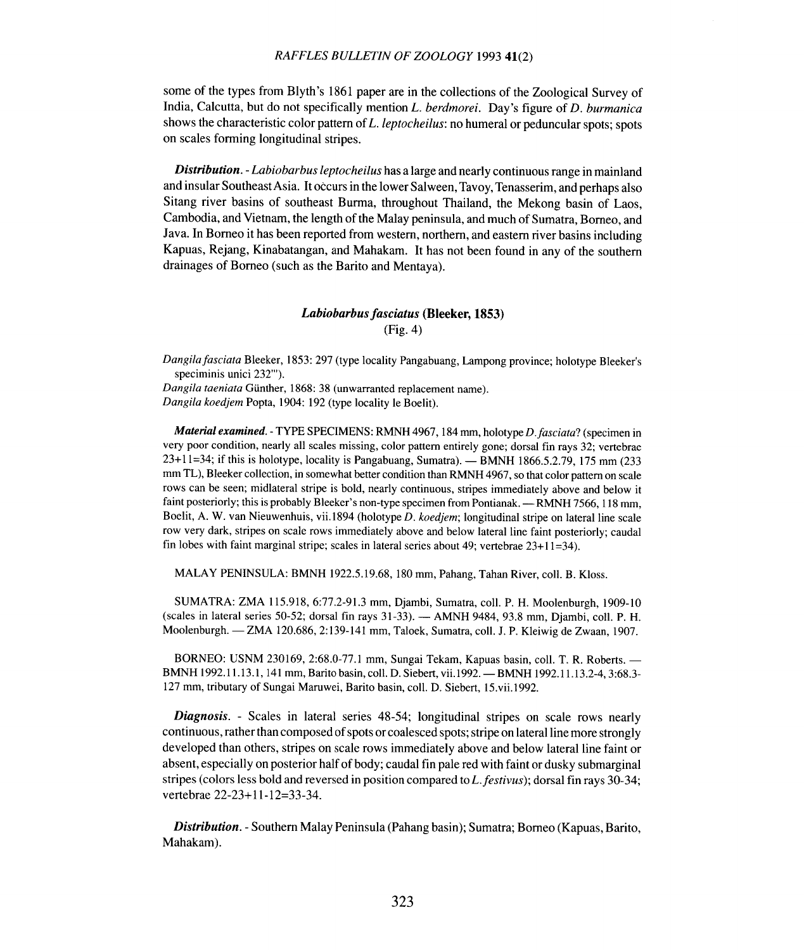some of the types from Blyth's 1861 paper are in the collections of the Zoological Survey of India, Calcutta, but do not specifically mention *L. berdmorei.* Day's figure of *D. burmanica* shows the characteristic color pattern of *L. leptocheilus:* no humeral or peduncular spots; spots on scales forming longitudinal stripes.

*Distribution. - Labiobarbus leptocheilus* has a large and nearly continuous range in mainland and insular Southeast Asia. It occurs in the lower Salween, Tavoy, Tenasserim, and perhaps also Sitang river basins of southeast Burma, throughout Thailand, the Mekong basin of Laos, Cambodia, and Vietnam, the length of the Malay peninsula, and much of Sumatra, Borneo, and Java. In Borneo it has been reported from western, northern, and eastern river basins including Kapuas, Rejang, Kinabatangan, and Mahakam. It has not been found in any of the southern drainages of Borneo (such as the Barito and Mentaya).

# *Labiobarbusfasciatus* (Bleeker, 1853) (Fig. 4)

*Dangilafasciata* Bleeker, 1853: 297 (type locality Pangabuang, Lampong province; holotype Bleeker's speciminis unici 232"').

*Dangila taeniata* Gunther, 1868: 38 (unwarranted replacement name). *Dangila koedjem* Popta, 1904: 192 (type locality Ie Boelit).

*Material examined. -* TYPE SPECIMENS: RMNH 4967, 184 mm, holotype *D .fasciata?* (specimen in very poor condition, nearly all scales missing, color pattern entirely gone; dorsal fin rays 32; vertebrae  $23+11=34$ ; if this is holotype, locality is Pangabuang, Sumatra). - BMNH 1866.5.2.79, 175 mm (233) mm TL), Bleeker collection, in somewhat better condition than RMNH 4967, so that color pattern on scale rows can be seen; midlateral stripe is bold, nearly continuous, stripes immediately above and below it faint posteriorly; this is probably Bleeker's non-type specimen from Pontianak. - RMNH 7566, 118 mm, Boelit, A. W. van Nieuwenhuis, vii. I 894 (holotype *D. koedjem;* longitudinal stripe on lateral line scale row very dark, stripes on scale rows immediately above and below lateral line faint posteriorly; caudal fin lobes with faint marginal stripe; scales in lateral series about 49; vertebrae  $23+11=34$ ).

MALAY PENINSULA: BMNH 1922.5.19.68, 180 mm, Pahang, Tahan River, coll. B. Kloss.

SUMATRA: ZMA 115.918,6:77.2-91.3 mm, Djambi, Sumatra, coil. P. H. Moolenburgh, 1909-10 (scales in lateral series 50-52; dorsal fin rays 31-33). - AMNH 9484, 93.8 mm, Djambi, coll. P. H. Moolenburgh. - ZMA 120.686, 2:139-141 mm, Taloek, Sumatra, coll. J. P. Kleiwig de Zwaan, 1907.

BORNEO: USNM 230169, 2:68.0-77.1 mm, Sungai Tekam, Kapuas basin, coli. T. R. Roberts. - BMNH 1992.11.13.1, 141 mm, Barito basin, coll. D. Siebert, vii.1992. - BMNH 1992.11.13.2-4, 3:68.3-127 mm, tributary of Sungai Maruwei, Barito basin, coli. D. Siebert, 15.vii.1992.

*Diagnosis. -* Scales in lateral series 48-54; longitudinal stripes on scale rows nearly continuous, rather than composed of spots or coalesced spots; stripe on lateral line more strongly developed than others, stripes on scale rows immediately above and below lateral line faint or absent, especially on posterior half of body; caudal fin pale red with faint or dusky submarginal stripes (colors less bold and reversed in position compared to *L.festivus);* dorsal fin rays 30-34; vertebrae 22-23+ 11-12=33-34.

*Distribution. -* Southern Malay Peninsula (Pahang basin); Sumatra; Borneo (Kapuas, Barito, Mahakam).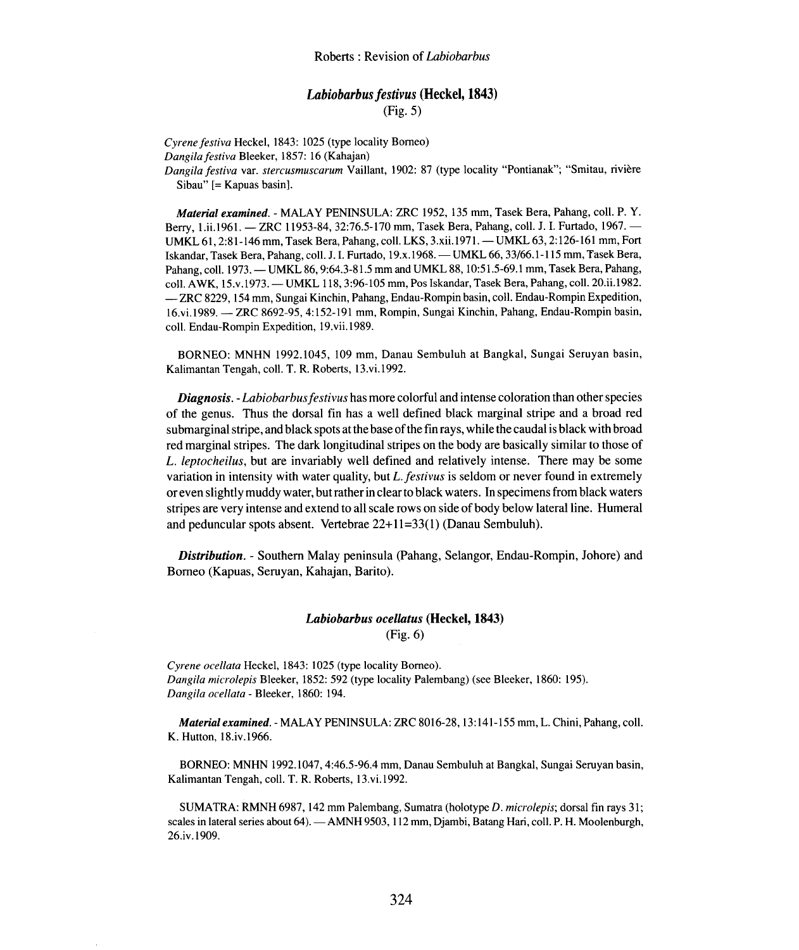# *Labiobarbus festivus* (Heckel, 1843) (Fig. 5)

*Cyrene festiva* Heckel, 1843: 1025 (type locality Borneo) *Dangilafestiva* Bleeker, 1857: 16 (Kahajan) *Dangilafestiva* var. *stercusmuscarum* Vaillant, 1902: 87 (type locality "Pontianak"; "Smitau, riviere Sibau" [= Kapuas basin].

*Material examined. -* MALAY PENINSULA: ZRC 1952, 135 mm, Tasek Bera, Pahang, coli. P. Y. Berry, 1.ii.1961. - ZRC 11953-84, 32:76.5-170 mm, Tasek Bera, Pahang, coll. J. I. Furtado, 1967. -UMKL 61, 2:81-146 mm, Tasek Bera, Pahang, coll. LKS, 3.xii.1971. - UMKL 63, 2:126-161 mm, Fort Iskandar, Tasek Bera, Pahang, coll. J. I. Furtado, 19.x.1968. - UMKL 66, 33/66.1-115 mm, Tasek Bera, Pahang, coll. 1973. - UMKL 86, 9:64.3-81.5 mm and UMKL 88, 10:51.5-69.1 mm, Tasek Bera, Pahang, coll. AWK, 15.v.1973. - UMKL 118, 3:96-105 mm, Pos Iskandar, Tasek Bera, Pahang, coll. 20.ii.1982. -ZRC 8229, 154 mm, Sungai Kinchin, Pahang, Endau-Rompin basin, coll. Endau-Rompin Expedition, 16.vi.1989. - ZRC 8692-95, 4: 152-191 mm, Rompin, Sungai Kinchin, Pahang, Endau-Rompin basin, coll. Endau-Rompin Expedition, 19.vii.1989.

BORNEO: MNHN 1992.1045, 109 mm, Danau Sembuluh at Bangkal, Sungai Seruyan basin, Kalimantan Tengah, coli. T. R. Roberts, 13.vi.1992.

*Diagnosis. - Labiobarbusfestivus* has more colorful and intense coloration than other species of the genus. Thus the dorsal fin has a well defined black marginal stripe and a broad red submarginal stripe, and black spots at the base of the fin rays, while the caudal is black with broad red marginal stripes. The dark longitudinal stripes on the body are basically similar to those of *L. leptocheilus,* but are invariably well defined and relatively intense. There may be some variation in intensity with water quality, but *L.festivus* is seldom or never found in extremely or even slightly muddy water, but rather in clear to black waters. In specimens from black waters stripes are very intense and extend to all scale rows on side of body below lateral line. Humeral and peduncular spots absent. Vertebrae 22+ 11=33(1) (Danau Sembuluh).

*Distribution. -* Southern Malay peninsula (Pahang, Selangor, Endau-Rompin, Johore) and Borneo (Kapuas, Seruyan, Kahajan, Barito).

# *Labiobarbus ocellatus* (Heckel, 1843) (Fig. 6)

*Cyrene ocellata* Heckel, 1843: 1025 (type locality Borneo). *Dangila microlepis* Bleeker, 1852: 592 (type locality Palembang) (see Bleeker, 1860: 195). *Dangila ocellata -* Bleeker, 1860: 194.

*Material examined. -* MALAY PENINSULA: ZRC 8016-28,13:141-155 mm, L. Chini, Pahang, coli. K. Hutton, I8.iv. 1966.

BORNEO: MNHN 1992.1047,4:46.5-96.4 mm, Danau Sembuluh at Bangkal, Sungai Seruyan basin, Kalimantan Tengah, coil. T. R. Roberts, 13.vi.l992.

SUMATRA: RMNH 6987,142 mm Palembang, Sumatra (holotype *D. microlepis;* dorsal fin rays 31; scales in lateral series about 64). - AMNH 9503, 112 mm, Djambi, Batang Hari, coll. P. H. Moolenburgh, 26.iv.1909.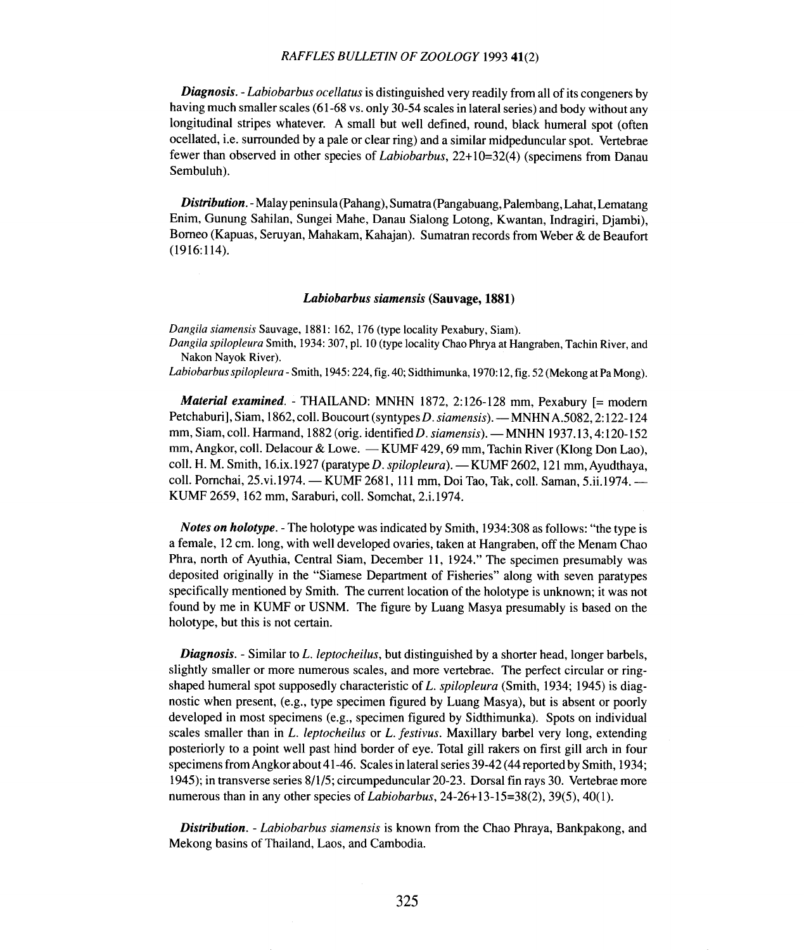*Diagnosis. - Labiobarbus ocellatus* is distinguished very readily from all of its congeners by having much smaller scales (61-68 vs. only 30-54 scales in lateral series) and body without any longitudinal stripes whatever. A small but well defined, round, black humeral spot (often ocellated, i.e. surrounded by a pale or clear ring) and a similar midpeduncular spot. Vertebrae fewer than observed in other species of *Labiobarbus,* 22+ 10=32(4) (specimens from Danau Sembuluh).

*Distribution. -*Malay peninsula (Pahang), Sumatra (Pangabuang, Palembang, Lahat, Lematang Enim, Gunung Sahilan, Sungei Mahe, Danau Sialong Lotong, Kwantan, Indragiri, Djambi), Borneo (Kapuas, Seruyan, Mahakam, Kahajan). Sumatran records from Weber & de Beaufort  $(1916:114).$ 

#### Labiobarbus siamensis (Sauvage, 1881)

*Dangila siamensis* Sauvage, 1881: 162, 176 (type locality Pexabury, Siam).

*Dangila spilopleura* Smith, 1934: 307, pI. 10 (type locality Chao Phrya at Hangraben, Tachin River, and Nakon Nayok River).

*Labiobarbus spilopleura -* Smith, 1945: 224, fig. 40; Sidthimunka, 1970: 12, fig. 52 (Mekong at Pa Mong).

*Material examined. -* THAILAND: MNHN 1872, 2:126-128 mm, Pexabury [= modem Petchaburi], Siam, 1862, colI. Boucourt (syntypes *D. siamensis). -* MNHN A.5082, 2: 122-124 mm, Siam, coll. Harmand, 1882 (orig. identified D. siamensis). - MNHN 1937.13, 4:120-152 mm, Angkor, coll. Delacour & Lowe. - KUMF 429, 69 mm, Tachin River (Klong Don Lao), coll. H. M. Smith, 16.ix.1927 (paratype *D. spilopleura). -* KUMF 2602, 121 mm, Ayudthaya, coll. Pornchai, 25.vi.1974. - KUMF 2681, 111 mm, Doi Tao, Tak, coll. Saman, 5.ii.1974. -KUMF 2659, 162 mm, Saraburi, colI. Somchat, 2.i.l974.

*Notes on holotype. -* The holotype was indicated by Smith, 1934:308 as follows: "the type is a female, 12 cm.long, with well developed ovaries, taken at Hangraben, off the Menam Chao Phra, north of Ayuthia, Central Siam, December 11, 1924." The specimen presumably was deposited originally in the "Siamese Department of Fisheries" along with seven paratypes specifically mentioned by Smith. The current location of the holotype is unknown; it was not found by me in KUMF or USNM. The figure by Luang Masya presumably is based on the holotype, but this is not certain.

*Diagnosis. -* Similar to *L. leptocheilus,* but distinguished by a shorter head, longer barbels, slightly smaller or more numerous scales, and more vertebrae. The perfect circular or ringshaped humeral spot supposedly characteristic of *L. spilopleura* (Smith, 1934; 1945) is diagnostic when present, (e.g., type specimen figured by Luang Masya), but is absent or poorly developed in most specimens (e.g., specimen figured by Sidthimunka). Spots on individual scales smaller than in *L. leptocheilus* or *L. festivus.* Maxillary barbel very long, extending posteriorly to a point well past hind border of eye. Total gill rakers on first gill arch in four specimens from Angkor about 41-46. Scales in lateral series 39-42 (44 reported by Smith, 1934; 1945); in transverse series 8/1/5; circumpeduncular 20-23. Dorsal fin rays 30. Vertebrae more numerous than in any other species of *Labiobarbus,* 24-26+ 13-15=38(2), 39(5), 40(1).

*Distribution. - Labiobarbus siamensis* is known from the Chao Phraya, Bankpakong, and Mekong basins of Thailand, Laos, and Cambodia.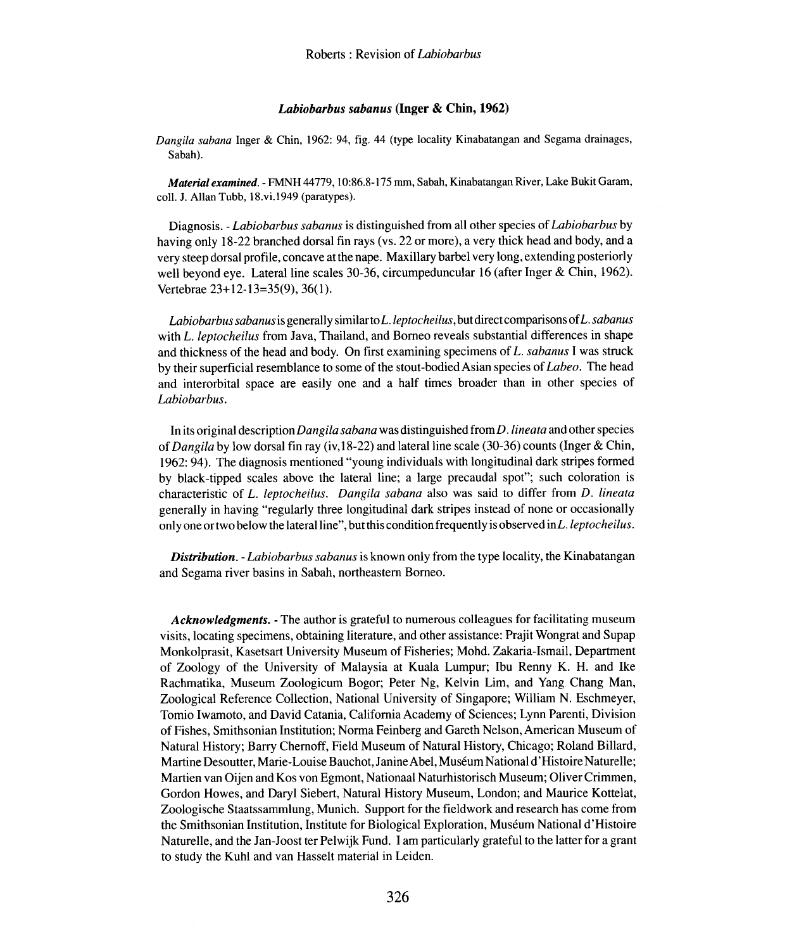#### Labiobarbus sabanus (Inger & Chin, 1962)

*Dangila sahana* Inger & Chin, 1962: 94, fig. 44 (type locality Kinabatangan and Segama drainages, Sabah).

*Material examined. -* FMNH 44779, 10:86.8-175 mm, Sabah, Kinabatangan River, Lake Bukit Garam, colI. J. Allan Tubb, l8.vi.1949 (paratypes).

Diagnosis. - *Labiobarbus sabanus* is distinguished from all other species of *Labiobarbus* by having only 18-22 branched dorsal fin rays (vs. 22 or more), a very thick head and body, and a very steep dorsal profile, concave at the nape. Maxillary barbel very long, extending posteriorly well beyond eye. Lateral line scales 30-36, circumpeduncular 16 (after Inger & Chin, 1962). Vertebrae 23+ 12-13=35(9), 36(1).

*Labiobarbus sabanus* is generally similar to *L.leptoc heilus,* but direct comparisons of *L.sabanus* with *L. leptocheilus* from Java, Thailand, and Borneo reveals substantial differences in shape and thickness of the head and body. On first examining specimens of *L. sabanus* I was struck by their superficial resemblance to some of the stout-bodied Asian species of *Labeo.* The head and interorbital space are easily one and a half times broader than in other species of *Labiobarbus.*

In its original description *Dangila sabana* was distinguished from *D .lineata* and other species of *Dangila* by low dorsal fin ray (iv,18-22) and lateral line scale (30-36) counts (Inger & Chin, 1962: 94). The diagnosis mentioned "young individuals with longitudinal dark stripes formed by black-tipped scales above the lateral line; a large precaudal spot"; such coloration is characteristic of *L. leptocheilus. Dangila sabana* also was said to differ from *D. lineata* generally in having "regularly three longitudinal dark stripes instead of none or occasionally only one or two below the lateral line" ,but this condition frequently is observed *inL.leptocheilus.*

*Distribution. - Labiobarbus sabanus* is known only from the type locality, the Kinabatangan and Segama river basins in Sabah, northeastern Borneo.

*Acknowledgments. -* The author is grateful to numerous colleagues for facilitating museum visits, locating specimens, obtaining literature, and other assistance: Prajit Wongrat and Supap Monkolprasit, Kasetsart University Museum of Fisheries; Mohd. Zakaria-Ismail, Department of Zoology of the University of Malaysia at Kuala Lumpur; Ibu Renny K. H. and Ike Rachmatika, Museum Zoologicum Bogor; Peter Ng, Kelvin Lim, and Yang Chang Man, Zoological Reference Collection, National University of Singapore; William N. Eschmeyer, Tomio Iwamoto, and David Catania, California Academy of Sciences; Lynn Parenti, Division of Fishes, Smithsonian Institution; Norma Feinberg and Gareth Nelson, American Museum of Natural History; Barry Chernoff, Field Museum of Natural History, Chicago; Roland Billard, Martine Desoutter, Marie- Louise Bauchot, JanineAbel, Museum National d'Histoire Naturelle; Martien van Oijen and Kos von Egmont, Nationaal Naturhistorisch Museum; Oliver Crimmen, Gordon Howes, and Daryl Siebert, Natural History Museum, London; and Maurice Kottelat, Zoologische Staatssammlung, Munich. Support for the fieldwork and research has come from the Smithsonian Institution, Institute for Biological Exploration, Museum National d'Histoire Naturelle, and the Jan-Joost ter Pelwijk Fund. I am particularly grateful to the latter for a grant to study the Kuhl and van Hasselt material in Leiden.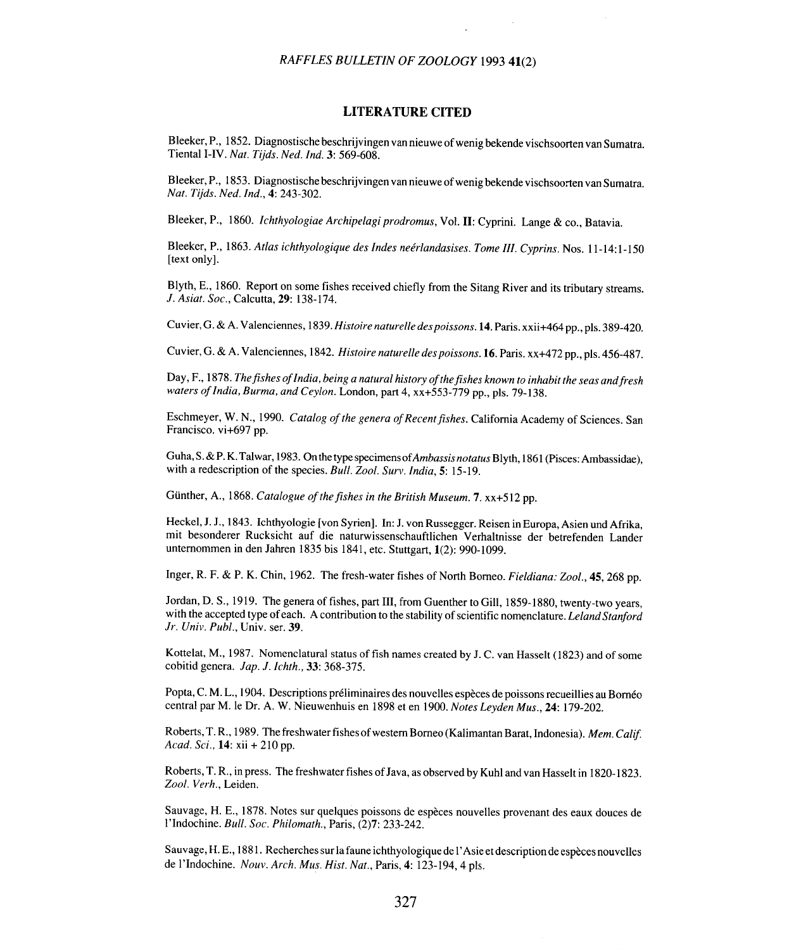### **LITERATURE CITED**

Bleeker, P., 1852. Diagnostische beschrijvingen van nieuwe of wenig bekende vischsoorten van Sumatra. Tienta1 I-IV. *Nat. Tijds. Ned. Ind.* 3: 569-608.

Bleeker, P., 1853. Diagnostische beschrijvingen vannieuwe of wenig bekende vischsoorten van Sumatra. *Nat. Tijds. Ned. Ind.,* 4: 243-302.

Bleeker, P., 1860. Ichthyologiae Archipelagi prodromus, Vol. II: Cyprini. Lange & co., Batavia.

Bleeker, P., 1863. *Atlas ichthyologique des Indes neerlandasises. Tome lll. Cyprins.* Nos. 11-14:1-150 [text only].

Blyth, E., 1860. Report on some fishes received chiefly from the Sitang River and its tributary streams. *J. Asiat. Soc.,* Calcutta, 29: 138-174.

Cuvier, G. & A. Valenciennes, 1839. Histoire naturelle des poissons. 14. Paris. xxii+464 pp., pls. 389-420.

Cuvier, G. & A. Valenciennes, 1842. Histoire naturelle des poissons. 16. Paris. xx+472 pp., pls. 456-487.

Day, F., 1878. *Thefishes of India, being a natural history of the fishes known to inhabit the seas andfresh waters of India, Burma, and Ceylon.* London, part 4, xx+553-779 pp., pis. 79-138.

Eschmeyer, W. N., 1990. *Catalog of the genera of Recent fishes.* California Academy of Sciences. San Francisco. vi+697 pp.

Guha, S.&P. K. Talwar, 1983. On the type specimens of*Ambassis notatus* Blyth, 1861 (Pisces: Ambassidae), with a redescription of the species. *Bull. Zool. Surv.India,* 5: 15-19.

Günther, A., 1868. Catalogue of the fishes in the British Museum. 7. xx+512 pp.

Heckel, J. J., 1843. Ichthyologie [von Syrien]. In: J. von Russegger. Reisen in Europa, Asien und Afrika, mit besonderer Rucksicht auf die naturwissenschauftlichen Verhaltnisse der betrefenden Lander unternommen in den Jahren 1835 bis 1841, etc. Stuttgart, 1(2): 990-1099.

Inger, R. F. & P. K. Chin, 1962. The fresh-water fishes of North Borneo. Fieldiana: Zool., 45, 268 pp.

Jordan, D. S., 1919. The genera of fishes, part III, from Guenther to Gill, 1859-1880, twenty-two years, with the accepted type of each. A contribution to the stability of scientific nomenclature. *Leland Stanford Jr. Univ. Publ.,* Univ. ser. 39.

Kottelat, M., 1987. Nomenclatural status of fish names created by J. C. van Hasselt (1823) and of some cobitid genera. *Jap. J. Ichth.,* 33: 368-375.

Popta, C. M. L., 1904. Descriptions préliminaires des nouvelles espèces de poissons recueillies au Bornéo central par M. Ie Dr. A. W. Nieuwenhuis en 1898 et en 1900. *Notes Leyden Mus.,* 24: 179-202.

Roberts, T. R., 1989. The freshwater fishes of western Borneo (Kalimantan Barat, Indonesia). *Mem. Calif. Acad. Sci.,* 14: xii + 210 pp.

Roberts, T. R., in press. The freshwater fishes of Java, as observed by Kuhl and van Hasselt in 1820-1823. *Zool. Verh.,* Leiden.

Sauvage, H. E., 1878. Notes sur quelques poissons de especes nouvelles provenant des eaux douces de l'Indochine. *Bull. Soc. Philomath.,* Paris, (2)7: 233-242.

Sauvage, H. E., 1881. Recherches sur la faune ichthyologique de I' Asie et description de especes nouvelles de l'Indochine. *Nouv. Arch. Mus. Hist. Nat.,* Paris, 4: 123-194,4 pis.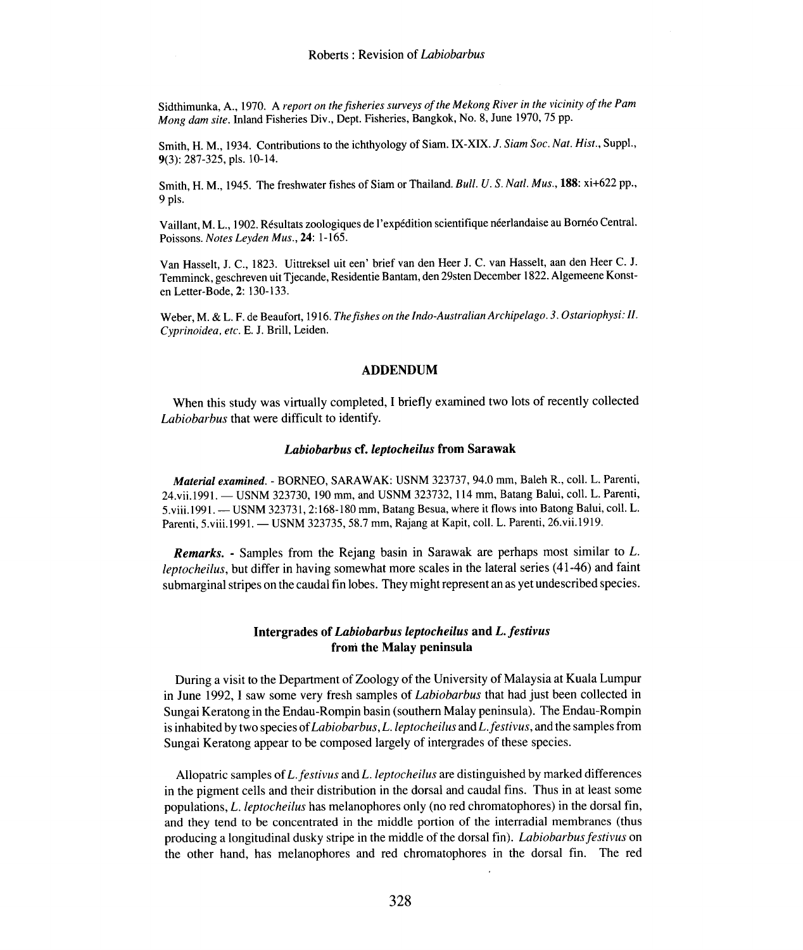Sidthimunka, A., 1970. A *report on the fisheries surveys of the Mekong River in the vicinity of the Pam Mong dam site.* Inland Fisheries Div., Dept. Fisheries, Bangkok, No.8, June 1970,75 pp.

Smith, H. M., 1934. Contributions to the ichthyology of Siam. IX-XIX. *J. Siam Soc. Nat. Hist.,* Suppl., 9(3): 287-325, pis. 10-14.

Smith, H. M., 1945. The freshwater fishes of Siam or Thailand. *Bull. U.* S. *Natl. Mus.,* 188: xi+622 pp., 9 pls.

Vaillant, M. L., 1902. Résultats zoologiques de l'expédition scientifique néerlandaise au Bornéo Central. Poissons. *Notes Leyden Mus.,* 24: 1-165.

Van Hasselt, J. C., 1823. Uittreksel uit een' brief van den Heer J. C. van Hasselt, aan den Heer C. J. Temminck, geschreven uit Tjecande, Residentie Bantam, den 29sten December 1822. Aigemeene Konsten Letter-Bode, 2: 130-133.

Weber, M. & L. F. de Beaufort, 1916. *Thefishes on the Indo-Australian Archipelago.* 3. *Ostariophysi: II. Cyprinoidea. etc.* E. J. Brill, Leiden.

### **ADDENDUM**

When this study was virtually completed, I briefly examined two lots of recently collected *Labiobarbus* that were difficult to identify.

### Labiobarbus cf. leptocheilus from Sarawak

*Material examined. -* BORNEO, SARA WAK: USNM 323737, 94.0 mm, Baleh R., coil. L. Parenti, 24. vii. 1991. - USNM 323730, 190 mm, and USNM 323732, 114 mm, Batang Balui, coll. L. Parenti, 5.viii.1991. - USNM 323731, 2:168-180 mm, Batang Besua, where it flows into Batong Balui, coll. L. Parenti, 5.viii.1991. - USNM 323735, 58.7 mm, Rajang at Kapit, coli. L. Parenti, 26.vii.1919.

*Remarks. -* Samples from the Rejang basin in Sarawak are perhaps most similar to *L. leptocheilus,* but differ in having somewhat more scales in the lateral series (41-46) and faint submarginal stripes on the caudal fin lobes. They might represent an as yet undescribed species.

# **Intergrades of** *Labiobarbus leptocheilus* **and** *L. festivus* **froni the** Malay **peninsula**

During a visit to the Department of Zoology of the University of Malaysia at Kuala Lumpur in June 1992, I saw some very fresh samples of *Labiobarbus* that had just been collected in Sungai Keratong in the Endau-Rompin basin (southern Malay peninsula). The Endau-Rompin is inhabited by two species of *Labiobarbus, L.leptocheilus* and *Lfestivus,* and the samples from Sungai Keratong appear to be composed largely of intergrades of these species.

Allopatric samples of *L. festivus* and *L. leptocheilus* are distinguished by marked differences in the pigment cells and their distribution in the dorsal and caudal fins. Thus in at least some populations, *L. leptocheilus* has melanophores only (no red chromatophores) in the dorsal fin, and they tend to be concentrated in the middle portion of the interradial membranes (thus producing a longitudinal dusky stripe in the middle of the dorsal fin). *Labiobarbusfestivus* on the other hand, has melanophores and red chromatophores in the dorsal fin. The red